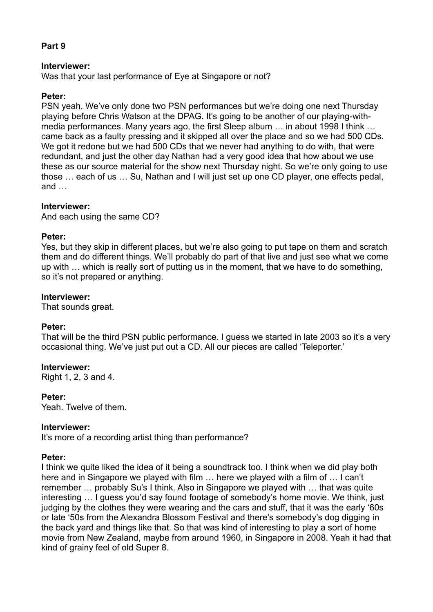# **Part 9**

### **Interviewer:**

Was that your last performance of Eye at Singapore or not?

### **Peter:**

PSN yeah. We've only done two PSN performances but we're doing one next Thursday playing before Chris Watson at the DPAG. It's going to be another of our playing-withmedia performances. Many years ago, the first Sleep album … in about 1998 I think … came back as a faulty pressing and it skipped all over the place and so we had 500 CDs. We got it redone but we had 500 CDs that we never had anything to do with, that were redundant, and just the other day Nathan had a very good idea that how about we use these as our source material for the show next Thursday night. So we're only going to use those … each of us … Su, Nathan and I will just set up one CD player, one effects pedal, and …

### **Interviewer:**

And each using the same CD?

### **Peter:**

Yes, but they skip in different places, but we're also going to put tape on them and scratch them and do different things. We'll probably do part of that live and just see what we come up with … which is really sort of putting us in the moment, that we have to do something, so it's not prepared or anything.

### **Interviewer:**

That sounds great.

#### **Peter:**

That will be the third PSN public performance. I guess we started in late 2003 so it's a very occasional thing. We've just put out a CD. All our pieces are called 'Teleporter.'

#### **Interviewer:**

Right 1, 2, 3 and 4.

#### **Peter:**

Yeah. Twelve of them.

#### **Interviewer:**

It's more of a recording artist thing than performance?

## **Peter:**

I think we quite liked the idea of it being a soundtrack too. I think when we did play both here and in Singapore we played with film … here we played with a film of … I can't remember … probably Su's I think. Also in Singapore we played with … that was quite interesting … I guess you'd say found footage of somebody's home movie. We think, just judging by the clothes they were wearing and the cars and stuff, that it was the early '60s or late '50s from the Alexandra Blossom Festival and there's somebody's dog digging in the back yard and things like that. So that was kind of interesting to play a sort of home movie from New Zealand, maybe from around 1960, in Singapore in 2008. Yeah it had that kind of grainy feel of old Super 8.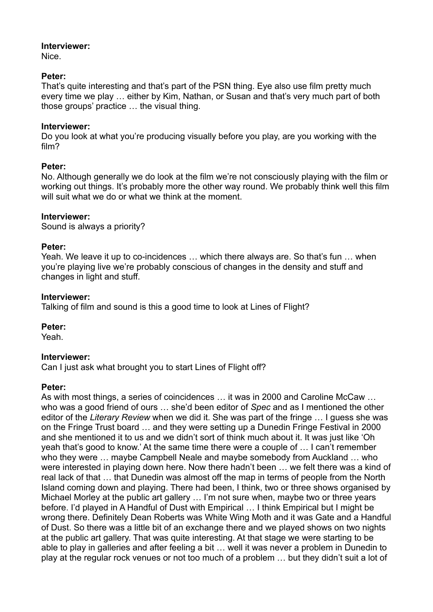Nice.

# **Peter:**

That's quite interesting and that's part of the PSN thing. Eye also use film pretty much every time we play … either by Kim, Nathan, or Susan and that's very much part of both those groups' practice … the visual thing.

# **Interviewer:**

Do you look at what you're producing visually before you play, are you working with the film?

# **Peter:**

No. Although generally we do look at the film we're not consciously playing with the film or working out things. It's probably more the other way round. We probably think well this film will suit what we do or what we think at the moment.

# **Interviewer:**

Sound is always a priority?

# **Peter:**

Yeah. We leave it up to co-incidences … which there always are. So that's fun … when you're playing live we're probably conscious of changes in the density and stuff and changes in light and stuff.

# **Interviewer:**

Talking of film and sound is this a good time to look at Lines of Flight?

# **Peter:**

Yeah.

# **Interviewer:**

Can I just ask what brought you to start Lines of Flight off?

# **Peter:**

As with most things, a series of coincidences … it was in 2000 and Caroline McCaw … who was a good friend of ours … she'd been editor of *Spec* and as I mentioned the other editor of the *Literary Review* when we did it. She was part of the fringe … I guess she was on the Fringe Trust board … and they were setting up a Dunedin Fringe Festival in 2000 and she mentioned it to us and we didn't sort of think much about it. It was just like 'Oh yeah that's good to know.' At the same time there were a couple of … I can't remember who they were … maybe Campbell Neale and maybe somebody from Auckland … who were interested in playing down here. Now there hadn't been … we felt there was a kind of real lack of that … that Dunedin was almost off the map in terms of people from the North Island coming down and playing. There had been, I think, two or three shows organised by Michael Morley at the public art gallery ... I'm not sure when, maybe two or three years before. I'd played in A Handful of Dust with Empirical … I think Empirical but I might be wrong there. Definitely Dean Roberts was White Wing Moth and it was Gate and a Handful of Dust. So there was a little bit of an exchange there and we played shows on two nights at the public art gallery. That was quite interesting. At that stage we were starting to be able to play in galleries and after feeling a bit … well it was never a problem in Dunedin to play at the regular rock venues or not too much of a problem … but they didn't suit a lot of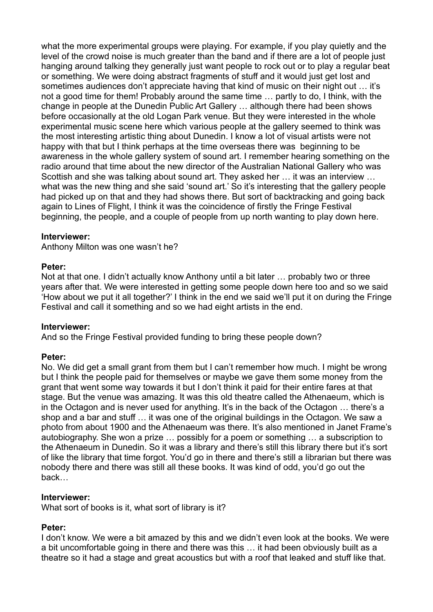what the more experimental groups were playing. For example, if you play quietly and the level of the crowd noise is much greater than the band and if there are a lot of people just hanging around talking they generally just want people to rock out or to play a regular beat or something. We were doing abstract fragments of stuff and it would just get lost and sometimes audiences don't appreciate having that kind of music on their night out … it's not a good time for them! Probably around the same time … partly to do, I think, with the change in people at the Dunedin Public Art Gallery … although there had been shows before occasionally at the old Logan Park venue. But they were interested in the whole experimental music scene here which various people at the gallery seemed to think was the most interesting artistic thing about Dunedin. I know a lot of visual artists were not happy with that but I think perhaps at the time overseas there was beginning to be awareness in the whole gallery system of sound art. I remember hearing something on the radio around that time about the new director of the Australian National Gallery who was Scottish and she was talking about sound art. They asked her … it was an interview … what was the new thing and she said 'sound art.' So it's interesting that the gallery people had picked up on that and they had shows there. But sort of backtracking and going back again to Lines of Flight, I think it was the coincidence of firstly the Fringe Festival beginning, the people, and a couple of people from up north wanting to play down here.

## **Interviewer:**

Anthony Milton was one wasn't he?

### **Peter:**

Not at that one. I didn't actually know Anthony until a bit later … probably two or three years after that. We were interested in getting some people down here too and so we said 'How about we put it all together?' I think in the end we said we'll put it on during the Fringe Festival and call it something and so we had eight artists in the end.

## **Interviewer:**

And so the Fringe Festival provided funding to bring these people down?

## **Peter:**

No. We did get a small grant from them but I can't remember how much. I might be wrong but I think the people paid for themselves or maybe we gave them some money from the grant that went some way towards it but I don't think it paid for their entire fares at that stage. But the venue was amazing. It was this old theatre called the Athenaeum, which is in the Octagon and is never used for anything. It's in the back of the Octagon … there's a shop and a bar and stuff … it was one of the original buildings in the Octagon. We saw a photo from about 1900 and the Athenaeum was there. It's also mentioned in Janet Frame's autobiography. She won a prize … possibly for a poem or something … a subscription to the Athenaeum in Dunedin. So it was a library and there's still this library there but it's sort of like the library that time forgot. You'd go in there and there's still a librarian but there was nobody there and there was still all these books. It was kind of odd, you'd go out the back…

## **Interviewer:**

What sort of books is it, what sort of library is it?

## **Peter:**

I don't know. We were a bit amazed by this and we didn't even look at the books. We were a bit uncomfortable going in there and there was this … it had been obviously built as a theatre so it had a stage and great acoustics but with a roof that leaked and stuff like that.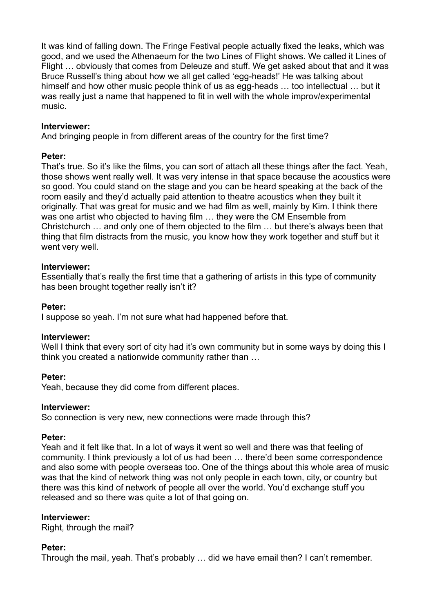It was kind of falling down. The Fringe Festival people actually fixed the leaks, which was good, and we used the Athenaeum for the two Lines of Flight shows. We called it Lines of Flight … obviously that comes from Deleuze and stuff. We get asked about that and it was Bruce Russell's thing about how we all get called 'egg-heads!' He was talking about himself and how other music people think of us as egg-heads … too intellectual … but it was really just a name that happened to fit in well with the whole improv/experimental music.

## **Interviewer:**

And bringing people in from different areas of the country for the first time?

## **Peter:**

That's true. So it's like the films, you can sort of attach all these things after the fact. Yeah, those shows went really well. It was very intense in that space because the acoustics were so good. You could stand on the stage and you can be heard speaking at the back of the room easily and they'd actually paid attention to theatre acoustics when they built it originally. That was great for music and we had film as well, mainly by Kim. I think there was one artist who objected to having film … they were the CM Ensemble from Christchurch … and only one of them objected to the film … but there's always been that thing that film distracts from the music, you know how they work together and stuff but it went very well.

# **Interviewer:**

Essentially that's really the first time that a gathering of artists in this type of community has been brought together really isn't it?

## **Peter:**

I suppose so yeah. I'm not sure what had happened before that.

# **Interviewer:**

Well I think that every sort of city had it's own community but in some ways by doing this I think you created a nationwide community rather than …

# **Peter:**

Yeah, because they did come from different places.

## **Interviewer:**

So connection is very new, new connections were made through this?

## **Peter:**

Yeah and it felt like that. In a lot of ways it went so well and there was that feeling of community. I think previously a lot of us had been … there'd been some correspondence and also some with people overseas too. One of the things about this whole area of music was that the kind of network thing was not only people in each town, city, or country but there was this kind of network of people all over the world. You'd exchange stuff you released and so there was quite a lot of that going on.

## **Interviewer:**

Right, through the mail?

# **Peter:**

Through the mail, yeah. That's probably … did we have email then? I can't remember.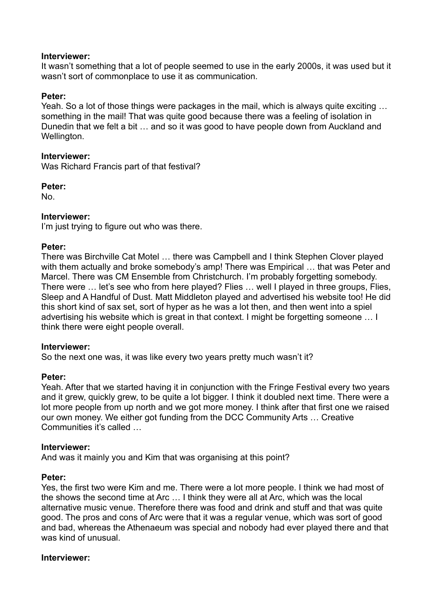It wasn't something that a lot of people seemed to use in the early 2000s, it was used but it wasn't sort of commonplace to use it as communication.

## **Peter:**

Yeah. So a lot of those things were packages in the mail, which is always quite exciting … something in the mail! That was quite good because there was a feeling of isolation in Dunedin that we felt a bit … and so it was good to have people down from Auckland and Wellington.

## **Interviewer:**

Was Richard Francis part of that festival?

**Peter:**

No.

# **Interviewer:**

I'm just trying to figure out who was there.

## **Peter:**

There was Birchville Cat Motel … there was Campbell and I think Stephen Clover played with them actually and broke somebody's amp! There was Empirical ... that was Peter and Marcel. There was CM Ensemble from Christchurch. I'm probably forgetting somebody. There were … let's see who from here played? Flies … well I played in three groups, Flies, Sleep and A Handful of Dust. Matt Middleton played and advertised his website too! He did this short kind of sax set, sort of hyper as he was a lot then, and then went into a spiel advertising his website which is great in that context. I might be forgetting someone … I think there were eight people overall.

## **Interviewer:**

So the next one was, it was like every two years pretty much wasn't it?

## **Peter:**

Yeah. After that we started having it in conjunction with the Fringe Festival every two years and it grew, quickly grew, to be quite a lot bigger. I think it doubled next time. There were a lot more people from up north and we got more money. I think after that first one we raised our own money. We either got funding from the DCC Community Arts … Creative Communities it's called …

## **Interviewer:**

And was it mainly you and Kim that was organising at this point?

## **Peter:**

Yes, the first two were Kim and me. There were a lot more people. I think we had most of the shows the second time at Arc … I think they were all at Arc, which was the local alternative music venue. Therefore there was food and drink and stuff and that was quite good. The pros and cons of Arc were that it was a regular venue, which was sort of good and bad, whereas the Athenaeum was special and nobody had ever played there and that was kind of unusual.

## **Interviewer:**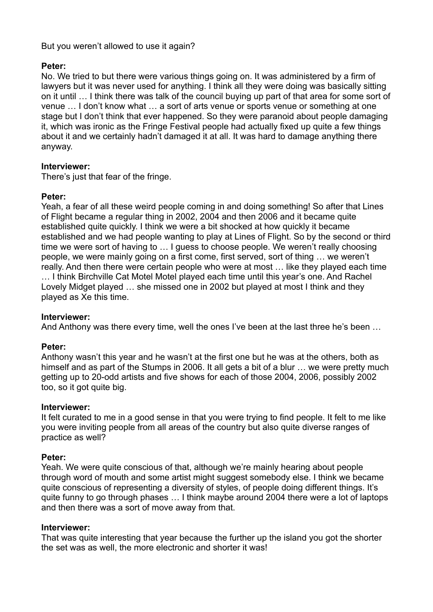# But you weren't allowed to use it again?

## **Peter:**

No. We tried to but there were various things going on. It was administered by a firm of lawyers but it was never used for anything. I think all they were doing was basically sitting on it until … I think there was talk of the council buying up part of that area for some sort of venue … I don't know what … a sort of arts venue or sports venue or something at one stage but I don't think that ever happened. So they were paranoid about people damaging it, which was ironic as the Fringe Festival people had actually fixed up quite a few things about it and we certainly hadn't damaged it at all. It was hard to damage anything there anyway.

# **Interviewer:**

There's just that fear of the fringe.

# **Peter:**

Yeah, a fear of all these weird people coming in and doing something! So after that Lines of Flight became a regular thing in 2002, 2004 and then 2006 and it became quite established quite quickly. I think we were a bit shocked at how quickly it became established and we had people wanting to play at Lines of Flight. So by the second or third time we were sort of having to … I guess to choose people. We weren't really choosing people, we were mainly going on a first come, first served, sort of thing … we weren't really. And then there were certain people who were at most … like they played each time … I think Birchville Cat Motel Motel played each time until this year's one. And Rachel Lovely Midget played … she missed one in 2002 but played at most I think and they played as Xe this time.

# **Interviewer:**

And Anthony was there every time, well the ones I've been at the last three he's been …

# **Peter:**

Anthony wasn't this year and he wasn't at the first one but he was at the others, both as himself and as part of the Stumps in 2006. It all gets a bit of a blur ... we were pretty much getting up to 20-odd artists and five shows for each of those 2004, 2006, possibly 2002 too, so it got quite big.

## **Interviewer:**

It felt curated to me in a good sense in that you were trying to find people. It felt to me like you were inviting people from all areas of the country but also quite diverse ranges of practice as well?

# **Peter:**

Yeah. We were quite conscious of that, although we're mainly hearing about people through word of mouth and some artist might suggest somebody else. I think we became quite conscious of representing a diversity of styles, of people doing different things. It's quite funny to go through phases … I think maybe around 2004 there were a lot of laptops and then there was a sort of move away from that.

## **Interviewer:**

That was quite interesting that year because the further up the island you got the shorter the set was as well, the more electronic and shorter it was!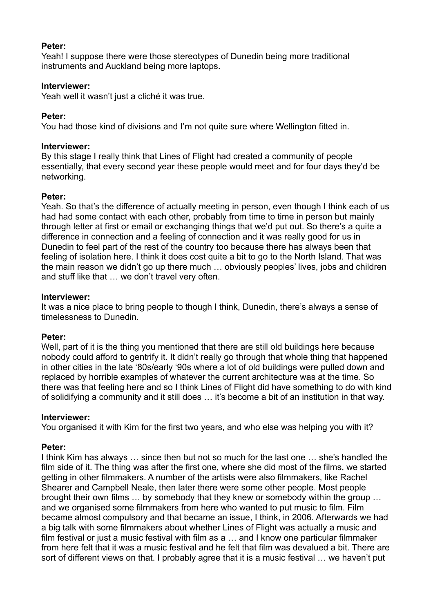Yeah! I suppose there were those stereotypes of Dunedin being more traditional instruments and Auckland being more laptops.

## **Interviewer:**

Yeah well it wasn't just a cliché it was true.

# **Peter:**

You had those kind of divisions and I'm not quite sure where Wellington fitted in.

## **Interviewer:**

By this stage I really think that Lines of Flight had created a community of people essentially, that every second year these people would meet and for four days they'd be networking.

# **Peter:**

Yeah. So that's the difference of actually meeting in person, even though I think each of us had had some contact with each other, probably from time to time in person but mainly through letter at first or email or exchanging things that we'd put out. So there's a quite a difference in connection and a feeling of connection and it was really good for us in Dunedin to feel part of the rest of the country too because there has always been that feeling of isolation here. I think it does cost quite a bit to go to the North Island. That was the main reason we didn't go up there much … obviously peoples' lives, jobs and children and stuff like that … we don't travel very often.

# **Interviewer:**

It was a nice place to bring people to though I think, Dunedin, there's always a sense of timelessness to Dunedin.

# **Peter:**

Well, part of it is the thing you mentioned that there are still old buildings here because nobody could afford to gentrify it. It didn't really go through that whole thing that happened in other cities in the late '80s/early '90s where a lot of old buildings were pulled down and replaced by horrible examples of whatever the current architecture was at the time. So there was that feeling here and so I think Lines of Flight did have something to do with kind of solidifying a community and it still does … it's become a bit of an institution in that way.

## **Interviewer:**

You organised it with Kim for the first two years, and who else was helping you with it?

# **Peter:**

I think Kim has always … since then but not so much for the last one … she's handled the film side of it. The thing was after the first one, where she did most of the films, we started getting in other filmmakers. A number of the artists were also filmmakers, like Rachel Shearer and Campbell Neale, then later there were some other people. Most people brought their own films … by somebody that they knew or somebody within the group … and we organised some filmmakers from here who wanted to put music to film. Film became almost compulsory and that became an issue, I think, in 2006. Afterwards we had a big talk with some filmmakers about whether Lines of Flight was actually a music and film festival or just a music festival with film as a … and I know one particular filmmaker from here felt that it was a music festival and he felt that film was devalued a bit. There are sort of different views on that. I probably agree that it is a music festival … we haven't put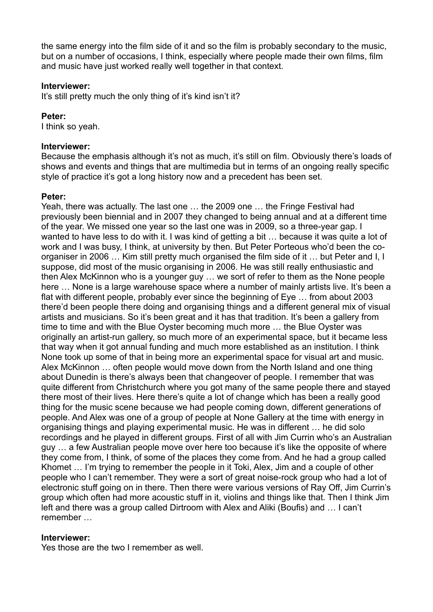the same energy into the film side of it and so the film is probably secondary to the music, but on a number of occasions, I think, especially where people made their own films, film and music have just worked really well together in that context.

#### **Interviewer:**

It's still pretty much the only thing of it's kind isn't it?

### **Peter:**

I think so yeah.

### **Interviewer:**

Because the emphasis although it's not as much, it's still on film. Obviously there's loads of shows and events and things that are multimedia but in terms of an ongoing really specific style of practice it's got a long history now and a precedent has been set.

## **Peter:**

Yeah, there was actually. The last one … the 2009 one … the Fringe Festival had previously been biennial and in 2007 they changed to being annual and at a different time of the year. We missed one year so the last one was in 2009, so a three-year gap. I wanted to have less to do with it. I was kind of getting a bit … because it was quite a lot of work and I was busy, I think, at university by then. But Peter Porteous who'd been the coorganiser in 2006 … Kim still pretty much organised the film side of it … but Peter and I, I suppose, did most of the music organising in 2006. He was still really enthusiastic and then Alex McKinnon who is a younger guy … we sort of refer to them as the None people here … None is a large warehouse space where a number of mainly artists live. It's been a flat with different people, probably ever since the beginning of Eye … from about 2003 there'd been people there doing and organising things and a different general mix of visual artists and musicians. So it's been great and it has that tradition. It's been a gallery from time to time and with the Blue Oyster becoming much more … the Blue Oyster was originally an artist-run gallery, so much more of an experimental space, but it became less that way when it got annual funding and much more established as an institution. I think None took up some of that in being more an experimental space for visual art and music. Alex McKinnon … often people would move down from the North Island and one thing about Dunedin is there's always been that changeover of people. I remember that was quite different from Christchurch where you got many of the same people there and stayed there most of their lives. Here there's quite a lot of change which has been a really good thing for the music scene because we had people coming down, different generations of people. And Alex was one of a group of people at None Gallery at the time with energy in organising things and playing experimental music. He was in different … he did solo recordings and he played in different groups. First of all with Jim Currin who's an Australian guy … a few Australian people move over here too because it's like the opposite of where they come from, I think, of some of the places they come from. And he had a group called Khomet … I'm trying to remember the people in it Toki, Alex, Jim and a couple of other people who I can't remember. They were a sort of great noise-rock group who had a lot of electronic stuff going on in there. Then there were various versions of Ray Off, Jim Currin's group which often had more acoustic stuff in it, violins and things like that. Then I think Jim left and there was a group called Dirtroom with Alex and Aliki (Boufis) and … I can't remember …

## **Interviewer:**

Yes those are the two I remember as well.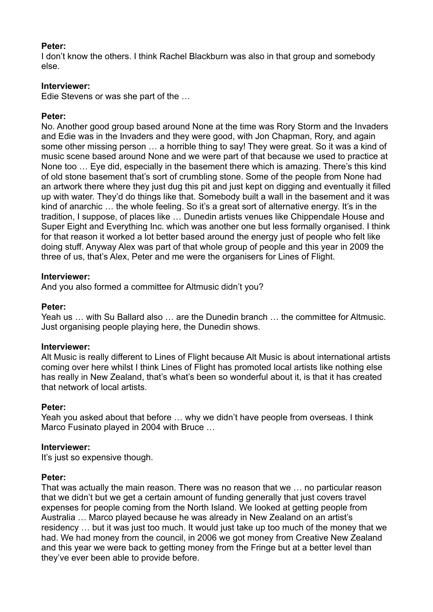I don't know the others. I think Rachel Blackburn was also in that group and somebody else.

## **Interviewer:**

Edie Stevens or was she part of the …

# **Peter:**

No. Another good group based around None at the time was Rory Storm and the Invaders and Edie was in the Invaders and they were good, with Jon Chapman, Rory, and again some other missing person … a horrible thing to say! They were great. So it was a kind of music scene based around None and we were part of that because we used to practice at None too … Eye did, especially in the basement there which is amazing. There's this kind of old stone basement that's sort of crumbling stone. Some of the people from None had an artwork there where they just dug this pit and just kept on digging and eventually it filled up with water. They'd do things like that. Somebody built a wall in the basement and it was kind of anarchic … the whole feeling. So it's a great sort of alternative energy. It's in the tradition, I suppose, of places like … Dunedin artists venues like Chippendale House and Super Eight and Everything Inc. which was another one but less formally organised. I think for that reason it worked a lot better based around the energy just of people who felt like doing stuff. Anyway Alex was part of that whole group of people and this year in 2009 the three of us, that's Alex, Peter and me were the organisers for Lines of Flight.

# **Interviewer:**

And you also formed a committee for Altmusic didn't you?

## **Peter:**

Yeah us … with Su Ballard also … are the Dunedin branch … the committee for Altmusic. Just organising people playing here, the Dunedin shows.

## **Interviewer:**

Alt Music is really different to Lines of Flight because Alt Music is about international artists coming over here whilst I think Lines of Flight has promoted local artists like nothing else has really in New Zealand, that's what's been so wonderful about it, is that it has created that network of local artists.

# **Peter:**

Yeah you asked about that before … why we didn't have people from overseas. I think Marco Fusinato played in 2004 with Bruce …

## **Interviewer:**

It's just so expensive though.

## **Peter:**

That was actually the main reason. There was no reason that we … no particular reason that we didn't but we get a certain amount of funding generally that just covers travel expenses for people coming from the North Island. We looked at getting people from Australia … Marco played because he was already in New Zealand on an artist's residency … but it was just too much. It would just take up too much of the money that we had. We had money from the council, in 2006 we got money from Creative New Zealand and this year we were back to getting money from the Fringe but at a better level than they've ever been able to provide before.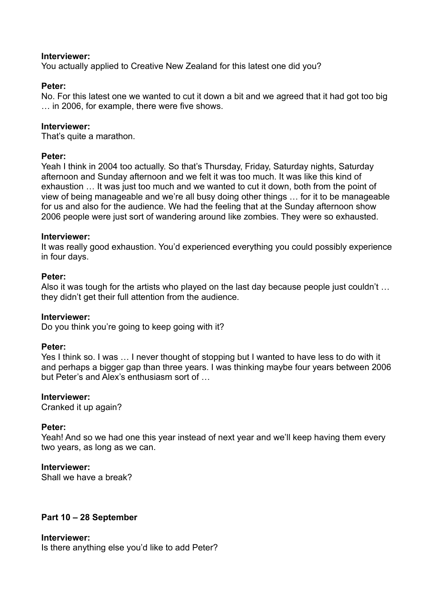You actually applied to Creative New Zealand for this latest one did you?

### **Peter:**

No. For this latest one we wanted to cut it down a bit and we agreed that it had got too big … in 2006, for example, there were five shows.

### **Interviewer:**

That's quite a marathon.

#### **Peter:**

Yeah I think in 2004 too actually. So that's Thursday, Friday, Saturday nights, Saturday afternoon and Sunday afternoon and we felt it was too much. It was like this kind of exhaustion … It was just too much and we wanted to cut it down, both from the point of view of being manageable and we're all busy doing other things … for it to be manageable for us and also for the audience. We had the feeling that at the Sunday afternoon show 2006 people were just sort of wandering around like zombies. They were so exhausted.

#### **Interviewer:**

It was really good exhaustion. You'd experienced everything you could possibly experience in four days.

### **Peter:**

Also it was tough for the artists who played on the last day because people just couldn't … they didn't get their full attention from the audience.

#### **Interviewer:**

Do you think you're going to keep going with it?

#### **Peter:**

Yes I think so. I was … I never thought of stopping but I wanted to have less to do with it and perhaps a bigger gap than three years. I was thinking maybe four years between 2006 but Peter's and Alex's enthusiasm sort of …

#### **Interviewer:**

Cranked it up again?

#### **Peter:**

Yeah! And so we had one this year instead of next year and we'll keep having them every two years, as long as we can.

#### **Interviewer:**

Shall we have a break?

## **Part 10 – 28 September**

#### **Interviewer:**

Is there anything else you'd like to add Peter?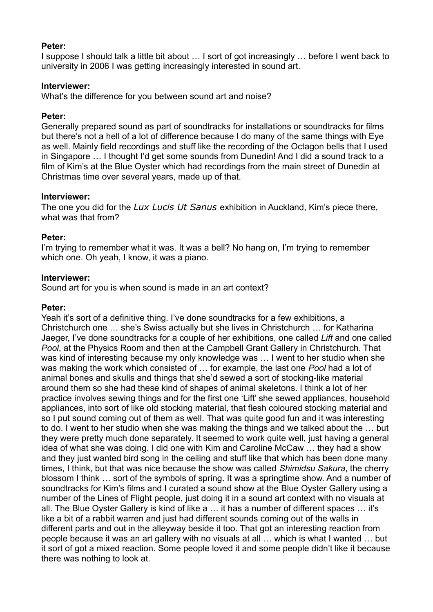I suppose I should talk a little bit about … I sort of got increasingly … before I went back to university in 2006 I was getting increasingly interested in sound art.

### **Interviewer:**

What's the difference for you between sound art and noise?

### **Peter:**

Generally prepared sound as part of soundtracks for installations or soundtracks for films but there's not a hell of a lot of difference because I do many of the same things with Eye as well. Mainly field recordings and stuff like the recording of the Octagon bells that I used in Singapore … I thought I'd get some sounds from Dunedin! And I did a sound track to a film of Kim's at the Blue Oyster which had recordings from the main street of Dunedin at Christmas time over several years, made up of that.

### **Interviewer:**

The one you did for the *Lux Lucis Ut Sanus* exhibition in Auckland, Kim's piece there, what was that from?

### **Peter:**

I'm trying to remember what it was. It was a bell? No hang on, I'm trying to remember which one. Oh yeah, I know, it was a piano.

### **Interviewer:**

Sound art for you is when sound is made in an art context?

### **Peter:**

Yeah it's sort of a definitive thing. I've done soundtracks for a few exhibitions, a Christchurch one … she's Swiss actually but she lives in Christchurch … for Katharina Jaeger, I've done soundtracks for a couple of her exhibitions, one called *Lift* and one called *Pool*, at the Physics Room and then at the Campbell Grant Gallery in Christchurch. That was kind of interesting because my only knowledge was … I went to her studio when she was making the work which consisted of … for example, the last one *Pool* had a lot of animal bones and skulls and things that she'd sewed a sort of stocking-like material around them so she had these kind of shapes of animal skeletons. I think a lot of her practice involves sewing things and for the first one 'Lift' she sewed appliances, household appliances, into sort of like old stocking material, that flesh coloured stocking material and so I put sound coming out of them as well. That was quite good fun and it was interesting to do. I went to her studio when she was making the things and we talked about the … but they were pretty much done separately. It seemed to work quite well, just having a general idea of what she was doing. I did one with Kim and Caroline McCaw … they had a show and they just wanted bird song in the ceiling and stuff like that which has been done many times, I think, but that was nice because the show was called *Shimidsu Sakura*, the cherry blossom I think … sort of the symbols of spring. It was a springtime show. And a number of soundtracks for Kim's films and I curated a sound show at the Blue Oyster Gallery using a number of the Lines of Flight people, just doing it in a sound art context with no visuals at all. The Blue Oyster Gallery is kind of like a … it has a number of different spaces … it's like a bit of a rabbit warren and just had different sounds coming out of the walls in different parts and out in the alleyway beside it too. That got an interesting reaction from people because it was an art gallery with no visuals at all … which is what I wanted … but it sort of got a mixed reaction. Some people loved it and some people didn't like it because there was nothing to look at.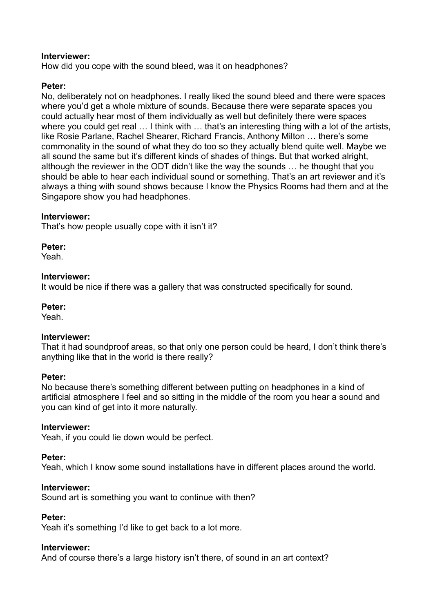How did you cope with the sound bleed, was it on headphones?

### **Peter:**

No, deliberately not on headphones. I really liked the sound bleed and there were spaces where you'd get a whole mixture of sounds. Because there were separate spaces you could actually hear most of them individually as well but definitely there were spaces where you could get real ... I think with ... that's an interesting thing with a lot of the artists, like Rosie Parlane, Rachel Shearer, Richard Francis, Anthony Milton … there's some commonality in the sound of what they do too so they actually blend quite well. Maybe we all sound the same but it's different kinds of shades of things. But that worked alright, although the reviewer in the ODT didn't like the way the sounds … he thought that you should be able to hear each individual sound or something. That's an art reviewer and it's always a thing with sound shows because I know the Physics Rooms had them and at the Singapore show you had headphones.

### **Interviewer:**

That's how people usually cope with it isn't it?

**Peter:**

Yeah.

### **Interviewer:**

It would be nice if there was a gallery that was constructed specifically for sound.

#### **Peter:**

Yeah.

#### **Interviewer:**

That it had soundproof areas, so that only one person could be heard, I don't think there's anything like that in the world is there really?

#### **Peter:**

No because there's something different between putting on headphones in a kind of artificial atmosphere I feel and so sitting in the middle of the room you hear a sound and you can kind of get into it more naturally.

#### **Interviewer:**

Yeah, if you could lie down would be perfect.

## **Peter:**

Yeah, which I know some sound installations have in different places around the world.

#### **Interviewer:**

Sound art is something you want to continue with then?

## **Peter:**

Yeah it's something I'd like to get back to a lot more.

## **Interviewer:**

And of course there's a large history isn't there, of sound in an art context?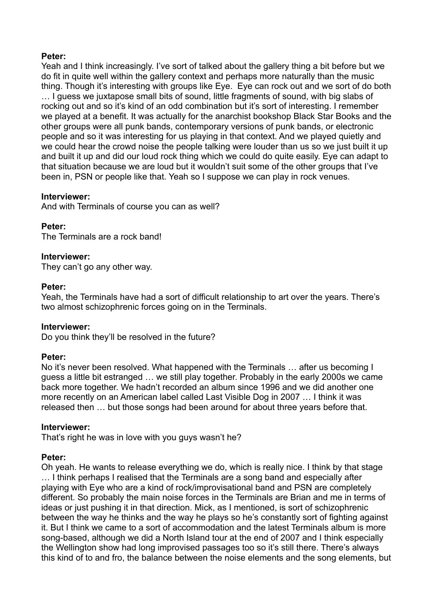Yeah and I think increasingly. I've sort of talked about the gallery thing a bit before but we do fit in quite well within the gallery context and perhaps more naturally than the music thing. Though it's interesting with groups like Eye. Eye can rock out and we sort of do both … I guess we juxtapose small bits of sound, little fragments of sound, with big slabs of rocking out and so it's kind of an odd combination but it's sort of interesting. I remember we played at a benefit. It was actually for the anarchist bookshop Black Star Books and the other groups were all punk bands, contemporary versions of punk bands, or electronic people and so it was interesting for us playing in that context. And we played quietly and we could hear the crowd noise the people talking were louder than us so we just built it up and built it up and did our loud rock thing which we could do quite easily. Eye can adapt to that situation because we are loud but it wouldn't suit some of the other groups that I've been in, PSN or people like that. Yeah so I suppose we can play in rock venues.

### **Interviewer:**

And with Terminals of course you can as well?

## **Peter:**

The Terminals are a rock band!

### **Interviewer:**

They can't go any other way.

### **Peter:**

Yeah, the Terminals have had a sort of difficult relationship to art over the years. There's two almost schizophrenic forces going on in the Terminals.

## **Interviewer:**

Do you think they'll be resolved in the future?

#### **Peter:**

No it's never been resolved. What happened with the Terminals … after us becoming I guess a little bit estranged … we still play together. Probably in the early 2000s we came back more together. We hadn't recorded an album since 1996 and we did another one more recently on an American label called Last Visible Dog in 2007 … I think it was released then … but those songs had been around for about three years before that.

#### **Interviewer:**

That's right he was in love with you guys wasn't he?

## **Peter:**

Oh yeah. He wants to release everything we do, which is really nice. I think by that stage … I think perhaps I realised that the Terminals are a song band and especially after playing with Eye who are a kind of rock/improvisational band and PSN are completely different. So probably the main noise forces in the Terminals are Brian and me in terms of ideas or just pushing it in that direction. Mick, as I mentioned, is sort of schizophrenic between the way he thinks and the way he plays so he's constantly sort of fighting against it. But I think we came to a sort of accommodation and the latest Terminals album is more song-based, although we did a North Island tour at the end of 2007 and I think especially the Wellington show had long improvised passages too so it's still there. There's always this kind of to and fro, the balance between the noise elements and the song elements, but